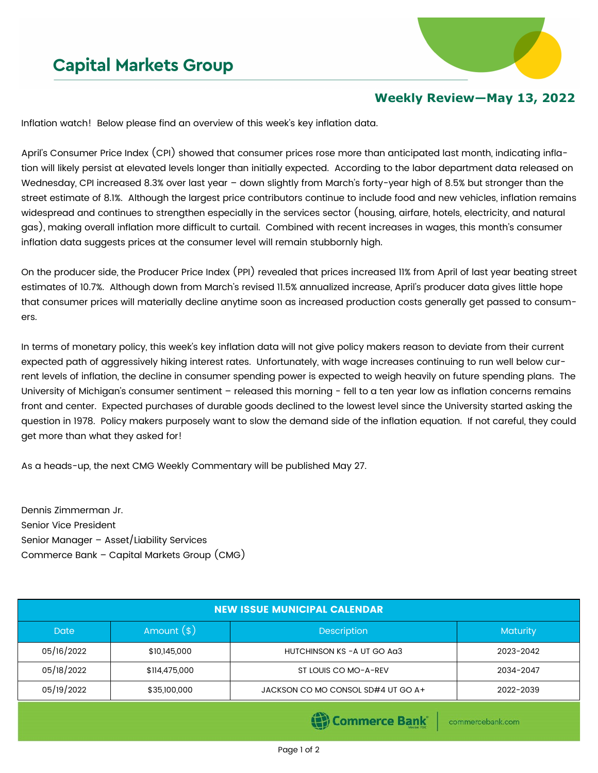

## **Weekly Review—May 13, 2022**

Inflation watch! Below please find an overview of this week's key inflation data.

April's Consumer Price Index (CPI) showed that consumer prices rose more than anticipated last month, indicating inflation will likely persist at elevated levels longer than initially expected. According to the labor department data released on Wednesday, CPI increased 8.3% over last year – down slightly from March's forty-year high of 8.5% but stronger than the street estimate of 8.1%. Although the largest price contributors continue to include food and new vehicles, inflation remains widespread and continues to strengthen especially in the services sector (housing, airfare, hotels, electricity, and natural gas), making overall inflation more difficult to curtail. Combined with recent increases in wages, this month's consumer inflation data suggests prices at the consumer level will remain stubbornly high.

On the producer side, the Producer Price Index (PPI) revealed that prices increased 11% from April of last year beating street estimates of 10.7%. Although down from March's revised 11.5% annualized increase, April's producer data gives little hope that consumer prices will materially decline anytime soon as increased production costs generally get passed to consumers.

In terms of monetary policy, this week's key inflation data will not give policy makers reason to deviate from their current expected path of aggressively hiking interest rates. Unfortunately, with wage increases continuing to run well below current levels of inflation, the decline in consumer spending power is expected to weigh heavily on future spending plans. The University of Michigan's consumer sentiment – released this morning - fell to a ten year low as inflation concerns remains front and center. Expected purchases of durable goods declined to the lowest level since the University started asking the question in 1978. Policy makers purposely want to slow the demand side of the inflation equation. If not careful, they could get more than what they asked for!

As a heads-up, the next CMG Weekly Commentary will be published May 27.

Dennis Zimmerman Jr. Senior Vice President Senior Manager – Asset/Liability Services Commerce Bank – Capital Markets Group (CMG)

| <b>NEW ISSUE MUNICIPAL CALENDAR</b> |               |                                    |           |  |  |  |  |
|-------------------------------------|---------------|------------------------------------|-----------|--|--|--|--|
| <b>Date</b>                         | Amount $(*)$  | Description                        | Maturity  |  |  |  |  |
| 05/16/2022                          | \$10,145,000  | HUTCHINSON KS - A UT GO AG3        | 2023-2042 |  |  |  |  |
| 05/18/2022                          | \$114,475,000 | ST LOUIS CO MO-A-REV               | 2034-2047 |  |  |  |  |
| 05/19/2022                          | \$35,100,000  | JACKSON CO MO CONSOL SD#4 UT GO A+ | 2022-2039 |  |  |  |  |
|                                     |               | <b>STATISTICS</b>                  |           |  |  |  |  |

(1) Commerce Bank

commercebank.com